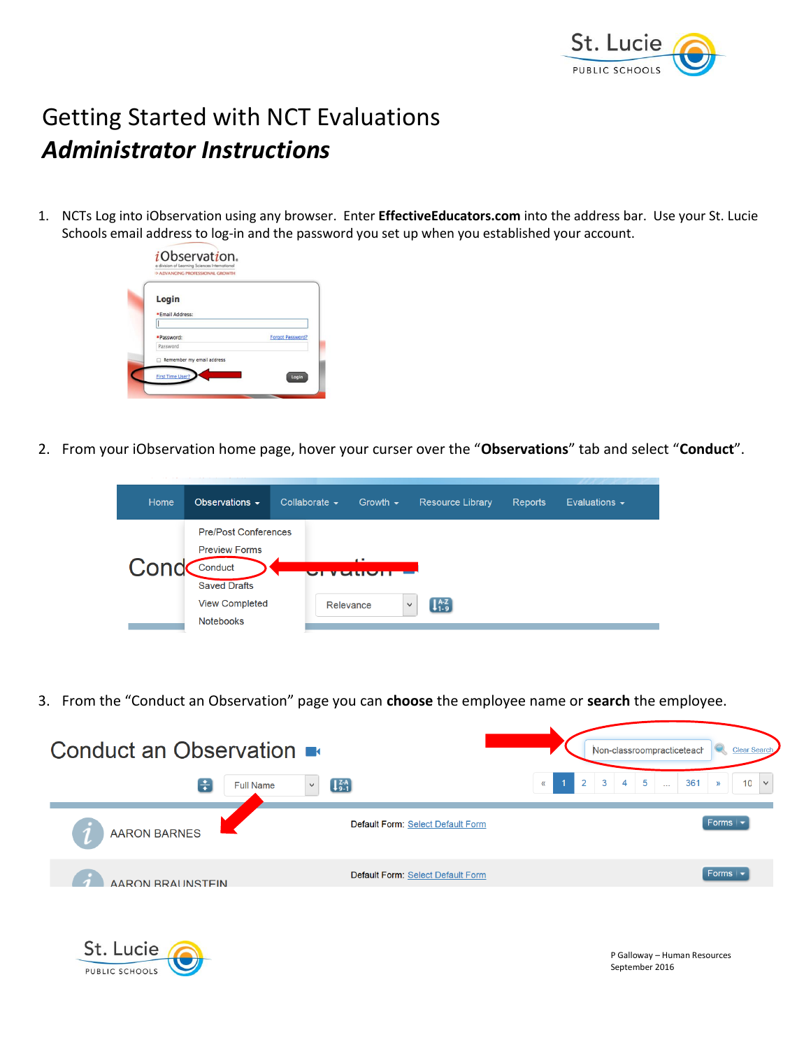

September 2016

## Getting Started with NCT Evaluations *Administrator Instructions*

1. NCTs Log into iObservation using any browser. Enter **EffectiveEducators.com** into the address bar. Use your St. Lucie Schools email address to log-in and the password you set up when you established your account.



PUBLIC SCHOOLS

2. From your iObservation home page, hover your curser over the "**Observations**" tab and select "**Conduct**".

| Home | Observations $\sim$                                                                                                                | Collaborate $\sim$ | Growth $\sim$ | <b>Resource Library</b>                             | <b>Reports</b> | Evaluations $\sim$ |
|------|------------------------------------------------------------------------------------------------------------------------------------|--------------------|---------------|-----------------------------------------------------|----------------|--------------------|
| Cond | <b>Pre/Post Conferences</b><br><b>Preview Forms</b><br>Conduct<br><b>Saved Drafts</b><br><b>View Completed</b><br><b>Notebooks</b> | Relevance          | 4. 8.         | $\left[1\substack{A-Z\\1-9}\right]$<br>$\checkmark$ |                |                    |

3. From the "Conduct an Observation" page you can **choose** the employee name or **search** the employee.

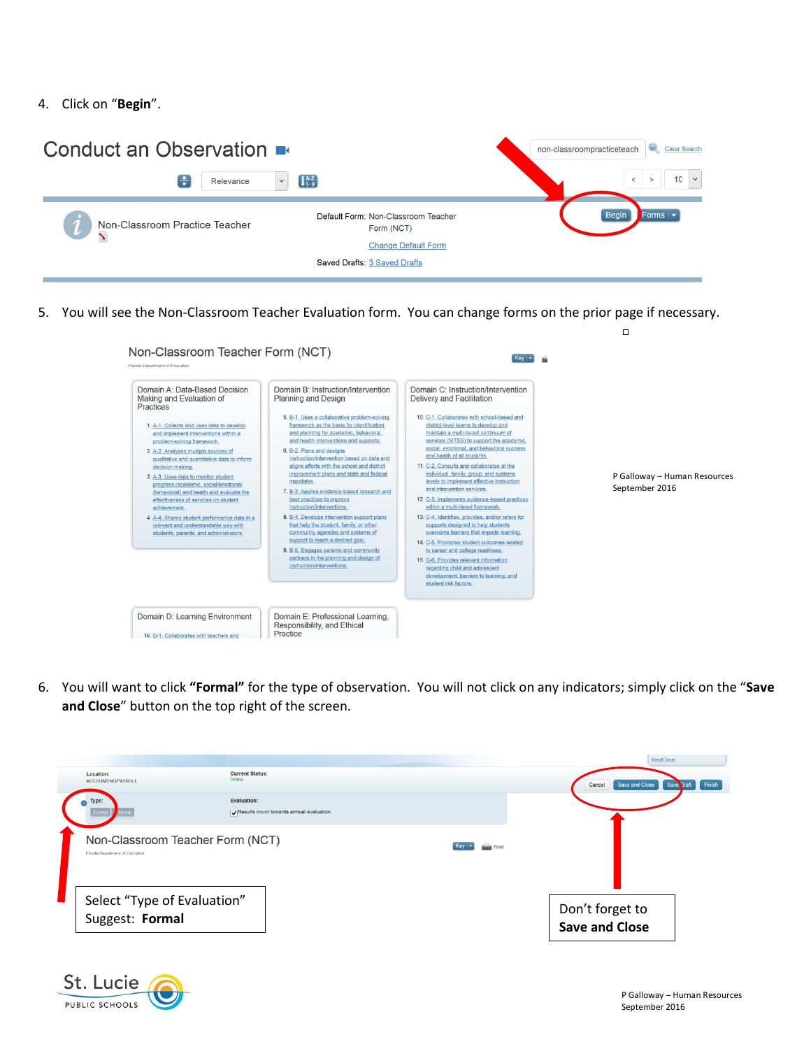4. Click on "**Begin**".



5. You will see the Non-Classroom Teacher Evaluation form. You can change forms on the prior page if necessary.



6. You will want to click **"Formal"** for the type of observation. You will not click on any indicators; simply click on the "**Save and Close**" button on the top right of the screen.



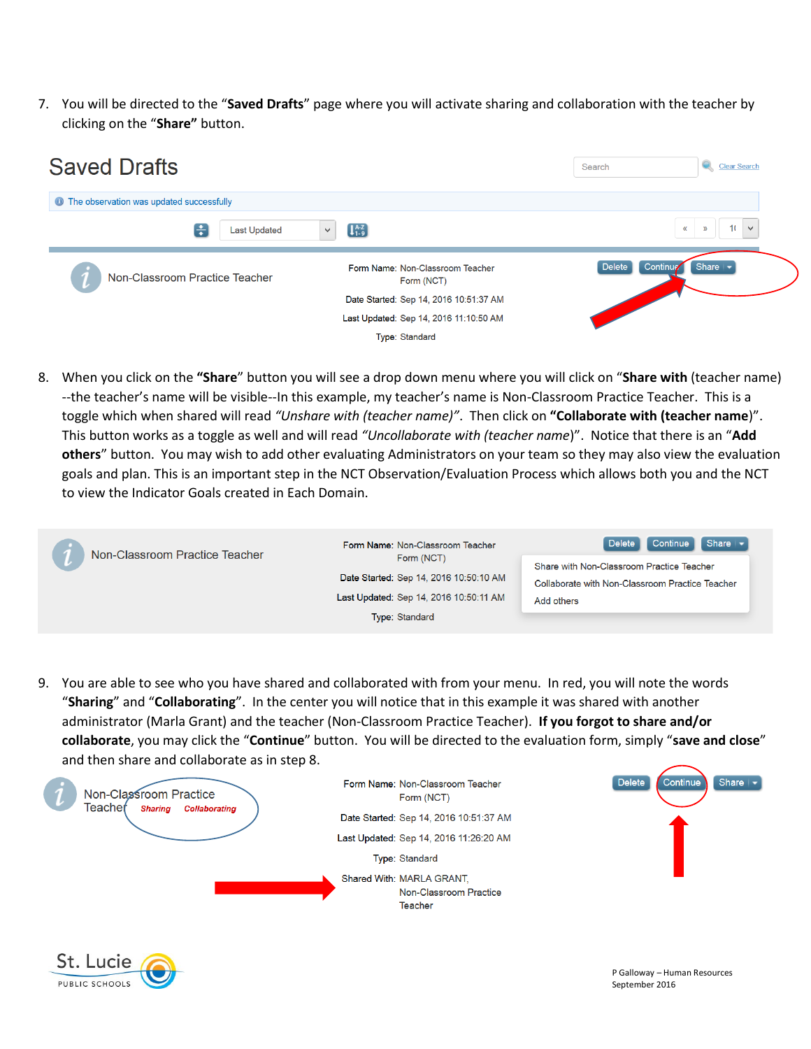7. You will be directed to the "**Saved Drafts**" page where you will activate sharing and collaboration with the teacher by clicking on the "**Share"** button.



8. When you click on the **"Share**" button you will see a drop down menu where you will click on "**Share with** (teacher name) --the teacher's name will be visible--In this example, my teacher's name is Non-Classroom Practice Teacher. This is a toggle which when shared will read *"Unshare with (teacher name)"*. Then click on **"Collaborate with (teacher name**)". This button works as a toggle as well and will read *"Uncollaborate with (teacher name*)". Notice that there is an "**Add others**" button. You may wish to add other evaluating Administrators on your team so they may also view the evaluation goals and plan. This is an important step in the NCT Observation/Evaluation Process which allows both you and the NCT to view the Indicator Goals created in Each Domain.

| Non-Classroom Practice Teacher | Form Name: Non-Classroom Teacher                     | Continue<br>$\blacksquare$ Share $\blacktriangleright$<br>Delete                             |  |
|--------------------------------|------------------------------------------------------|----------------------------------------------------------------------------------------------|--|
|                                | Form (NCT)<br>Date Started: Sep 14, 2016 10:50:10 AM | Share with Non-Classroom Practice Teacher<br>Collaborate with Non-Classroom Practice Teacher |  |
|                                | Last Updated: Sep 14, 2016 10:50:11 AM               | Add others                                                                                   |  |
|                                | Type: Standard                                       |                                                                                              |  |

9. You are able to see who you have shared and collaborated with from your menu. In red, you will note the words "**Sharing**" and "**Collaborating**". In the center you will notice that in this example it was shared with another administrator (Marla Grant) and the teacher (Non-Classroom Practice Teacher). **If you forgot to share and/or collaborate**, you may click the "**Continue**" button. You will be directed to the evaluation form, simply "**save and close**" and then share and collaborate as in step 8.



PUBLIC SCHOOLS

P Galloway – Human Resources

September 2016